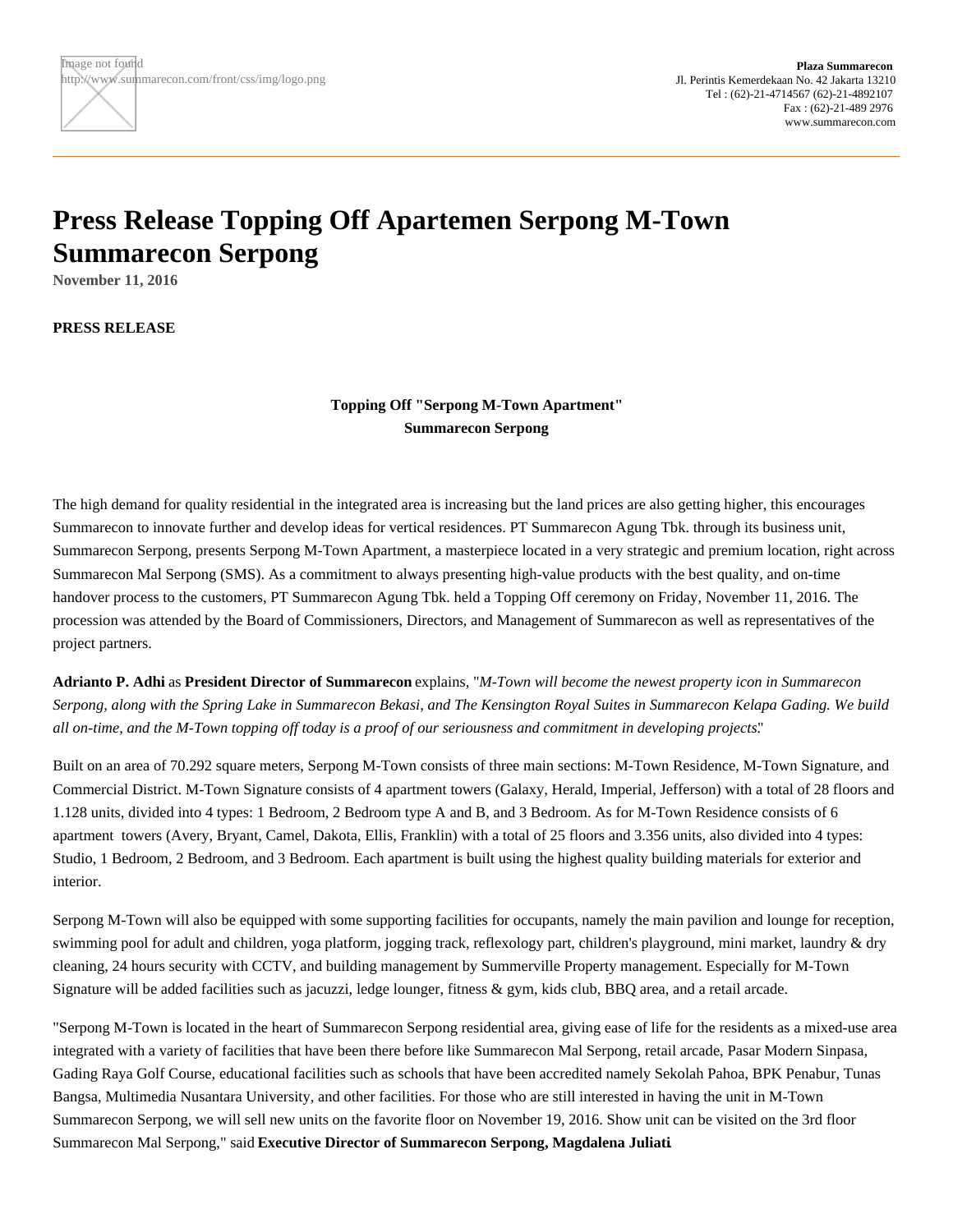## **Press Release Topping Off Apartemen Serpong M-Town Summarecon Serpong**

**November 11, 2016**

**PRESS RELEASE**

**Topping Off "Serpong M-Town Apartment" Summarecon Serpong**

The high demand for quality residential in the integrated area is increasing but the land prices are also getting higher, this encourages Summarecon to innovate further and develop ideas for vertical residences. PT Summarecon Agung Tbk. through its business unit, Summarecon Serpong, presents Serpong M-Town Apartment, a masterpiece located in a very strategic and premium location, right across Summarecon Mal Serpong (SMS). As a commitment to always presenting high-value products with the best quality, and on-time handover process to the customers, PT Summarecon Agung Tbk. held a Topping Off ceremony on Friday, November 11, 2016. The procession was attended by the Board of Commissioners, Directors, and Management of Summarecon as well as representatives of the project partners.

**Adrianto P. Adhi** as **President Director of Summarecon** explains, "*M-Town will become the newest property icon in Summarecon Serpong, along with the Spring Lake in Summarecon Bekasi, and The Kensington Royal Suites in Summarecon Kelapa Gading. We build all on-time, and the M-Town topping off today is a proof of our seriousness and commitment in developing projects.*"

Built on an area of 70.292 square meters, Serpong M-Town consists of three main sections: M-Town Residence, M-Town Signature, and Commercial District. M-Town Signature consists of 4 apartment towers (Galaxy, Herald, Imperial, Jefferson) with a total of 28 floors and 1.128 units, divided into 4 types: 1 Bedroom, 2 Bedroom type A and B, and 3 Bedroom. As for M-Town Residence consists of 6 apartment towers (Avery, Bryant, Camel, Dakota, Ellis, Franklin) with a total of 25 floors and 3.356 units, also divided into 4 types: Studio, 1 Bedroom, 2 Bedroom, and 3 Bedroom. Each apartment is built using the highest quality building materials for exterior and interior.

Serpong M-Town will also be equipped with some supporting facilities for occupants, namely the main pavilion and lounge for reception, swimming pool for adult and children, yoga platform, jogging track, reflexology part, children's playground, mini market, laundry & dry cleaning, 24 hours security with CCTV, and building management by Summerville Property management. Especially for M-Town Signature will be added facilities such as jacuzzi, ledge lounger, fitness & gym, kids club, BBQ area, and a retail arcade.

"Serpong M-Town is located in the heart of Summarecon Serpong residential area, giving ease of life for the residents as a mixed-use area integrated with a variety of facilities that have been there before like Summarecon Mal Serpong, retail arcade, Pasar Modern Sinpasa, Gading Raya Golf Course, educational facilities such as schools that have been accredited namely Sekolah Pahoa, BPK Penabur, Tunas Bangsa, Multimedia Nusantara University, and other facilities. For those who are still interested in having the unit in M-Town Summarecon Serpong, we will sell new units on the favorite floor on November 19, 2016. Show unit can be visited on the 3rd floor Summarecon Mal Serpong," said **Executive Director of Summarecon Serpong, Magdalena Juliati**.